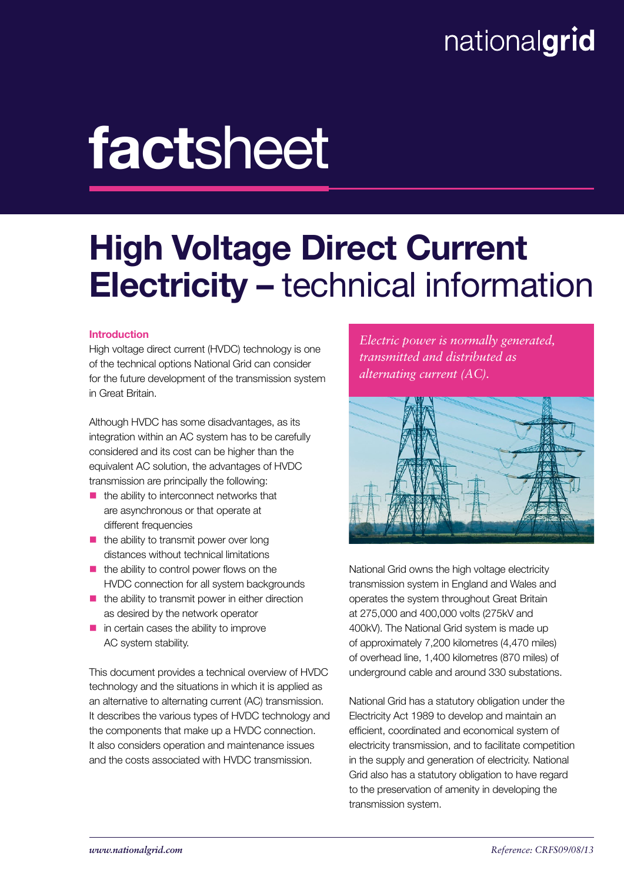# nationalgrid

# factsheet

# High Voltage Direct Current Electricity – technical information

# Introduction

High voltage direct current (HVDC) technology is one of the technical options National Grid can consider for the future development of the transmission system in Great Britain.

Although HVDC has some disadvantages, as its integration within an AC system has to be carefully considered and its cost can be higher than the equivalent AC solution, the advantages of HVDC transmission are principally the following:

- $\blacksquare$  the ability to interconnect networks that are asynchronous or that operate at different frequencies
- $\blacksquare$  the ability to transmit power over long distances without technical limitations
- $\blacksquare$  the ability to control power flows on the HVDC connection for all system backgrounds
- $\blacksquare$  the ability to transmit power in either direction as desired by the network operator
- $\blacksquare$  in certain cases the ability to improve AC system stability.

This document provides a technical overview of HVDC technology and the situations in which it is applied as an alternative to alternating current (AC) transmission. It describes the various types of HVDC technology and the components that make up a HVDC connection. It also considers operation and maintenance issues and the costs associated with HVDC transmission.

*Electric power is normally generated, transmitted and distributed as alternating current (AC).*



National Grid owns the high voltage electricity transmission system in England and Wales and operates the system throughout Great Britain at 275,000 and 400,000 volts (275kV and 400kV). The National Grid system is made up of approximately 7,200 kilometres (4,470 miles) of overhead line, 1,400 kilometres (870 miles) of underground cable and around 330 substations.

National Grid has a statutory obligation under the Electricity Act 1989 to develop and maintain an efficient, coordinated and economical system of electricity transmission, and to facilitate competition in the supply and generation of electricity. National Grid also has a statutory obligation to have regard to the preservation of amenity in developing the transmission system.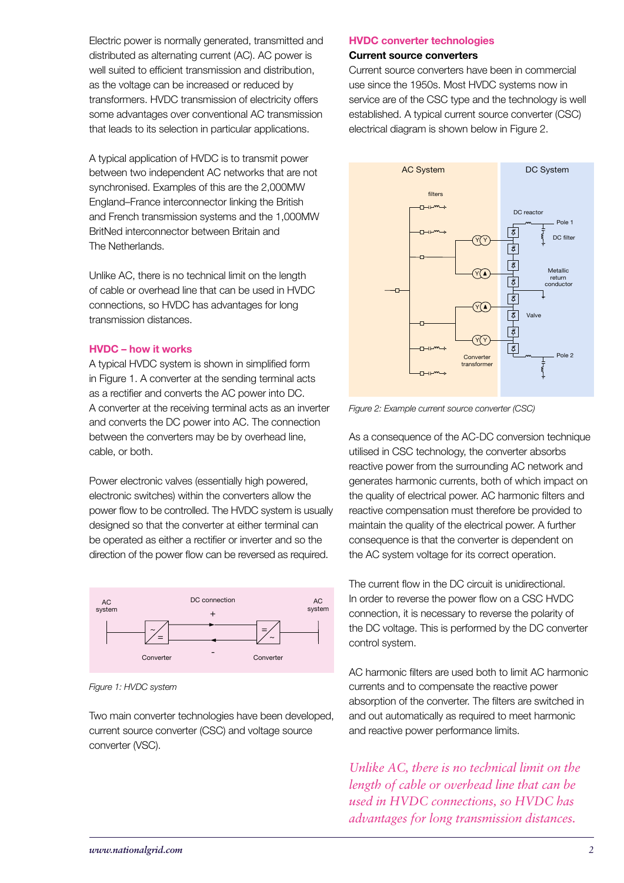Electric power is normally generated, transmitted and distributed as alternating current (AC). AC power is well suited to efficient transmission and distribution, as the voltage can be increased or reduced by transformers. HVDC transmission of electricity offers some advantages over conventional AC transmission that leads to its selection in particular applications.

A typical application of HVDC is to transmit power between two independent AC networks that are not synchronised. Examples of this are the 2,000MW England–France interconnector linking the British and French transmission systems and the 1,000MW BritNed interconnector between Britain and The Netherlands.

Unlike AC, there is no technical limit on the length of cable or overhead line that can be used in HVDC connections, so HVDC has advantages for long transmission distances.

# HVDC – how it works

A typical HVDC system is shown in simplified form in Figure 1. A converter at the sending terminal acts as a rectifier and converts the AC power into DC. A converter at the receiving terminal acts as an inverter and converts the DC power into AC. The connection between the converters may be by overhead line, cable, or both.

Power electronic valves (essentially high powered, electronic switches) within the converters allow the power flow to be controlled. The HVDC system is usually designed so that the converter at either terminal can be operated as either a rectifier or inverter and so the direction of the power flow can be reversed as required.



*Figure 1: HVDC system*

Two main converter technologies have been developed, current source converter (CSC) and voltage source converter (VSC).

#### HVDC converter technologies

#### Current source converters

Current source converters have been in commercial use since the 1950s. Most HVDC systems now in service are of the CSC type and the technology is well established. A typical current source converter (CSC) electrical diagram is shown below in Figure 2.



*Figure 2: Example current source converter (CSC)*

As a consequence of the AC-DC conversion technique utilised in CSC technology, the converter absorbs reactive power from the surrounding AC network and generates harmonic currents, both of which impact on the quality of electrical power. AC harmonic filters and reactive compensation must therefore be provided to maintain the quality of the electrical power. A further consequence is that the converter is dependent on the AC system voltage for its correct operation.

The current flow in the DC circuit is unidirectional. In order to reverse the power flow on a CSC HVDC connection, it is necessary to reverse the polarity of the DC voltage. This is performed by the DC converter control system.

AC harmonic filters are used both to limit AC harmonic currents and to compensate the reactive power absorption of the converter. The filters are switched in and out automatically as required to meet harmonic and reactive power performance limits.

*Unlike AC, there is no technical limit on the length of cable or overhead line that can be used in HVDC connections, so HVDC has advantages for long transmission distances.*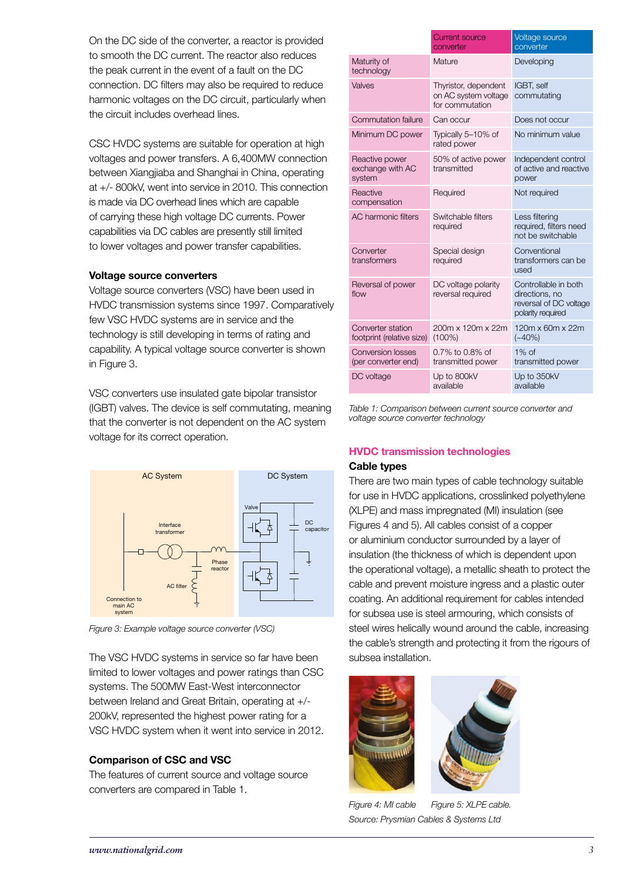On the DC side of the converter, a reactor is provided to smooth the DC current. The reactor also reduces the peak current in the event of a fault on the DC connection. DC filters may also be required to reduce harmonic voltages on the DC circuit, particularly when the circuit includes overhead lines.

CSC HVDC systems are suitable for operation at high voltages and power transfers. A 6,400MW connection between Xiangjiaba and Shanghai in China, operating at +/- 800kV, went into service in 2010. This connection is made via DC overhead lines which are capable of carrying these high voltage DC currents. Power capabilities via DC cables are presently still limited to lower voltages and power transfer capabilities.

# Voltage source converters

Voltage source converters (VSC) have been used in HVDC transmission systems since 1997. Comparatively few VSC HVDC systems are in service and the technology is still developing in terms of rating and capability. A typical voltage source converter is shown in Figure 3.

VSC converters use insulated gate bipolar transistor (IGBT) valves. The device is self commutating, meaning that the converter is not dependent on the AC system voltage for its correct operation.



*Figure 3: Example voltage source converter (VSC)*

The VSC HVDC systems in service so far have been limited to lower voltages and power ratings than CSC systems. The 500MW East-West interconnector between Ireland and Great Britain, operating at +/- 200kV, represented the highest power rating for a VSC HVDC system when it went into service in 2012.

# Comparison of CSC and VSC

The features of current source and voltage source converters are compared in Table 1.

|                                                 | <b>Current source</b><br>converter                              | Voltage source<br>converter                                                           |
|-------------------------------------------------|-----------------------------------------------------------------|---------------------------------------------------------------------------------------|
| Maturity of<br>technology                       | Mature                                                          | Developing                                                                            |
| Valves                                          | Thyristor, dependent<br>on AC system voltage<br>for commutation | IGBT, self<br>commutating                                                             |
| <b>Commutation failure</b>                      | Can occur                                                       | Does not occur                                                                        |
| Minimum DC power                                | Typically 5-10% of<br>rated power                               | No minimum value                                                                      |
| Reactive power<br>exchange with AC<br>system    | 50% of active power<br>transmitted                              | Independent control<br>of active and reactive<br>power                                |
| Reactive<br>compensation                        | Required                                                        | Not required                                                                          |
| <b>AC</b> harmonic filters                      | Switchable filters<br>required                                  | Less filtering<br>required, filters need<br>not be switchable                         |
| Converter<br>transformers                       | Special design<br>required                                      | Conventional<br>transformers can be<br>used                                           |
| Reversal of power<br>flow                       | DC voltage polarity<br>reversal required                        | Controllable in both<br>directions, no<br>reversal of DC voltage<br>polarity required |
| Converter station<br>footprint (relative size)  | 200m x 120m x 22m<br>$(100\%)$                                  | 120m x 60m x 22m<br>$(-40%)$                                                          |
| <b>Conversion losses</b><br>(per converter end) | 0.7% to 0.8% of<br>transmitted power                            | $1\%$ of<br>transmitted power                                                         |
| DC voltage                                      | Up to 800kV<br>available                                        | Up to 350kV<br>available                                                              |

*Table 1: Comparison between current source converter and voltage source converter technology*

# HVDC transmission technologies

# Cable types

There are two main types of cable technology suitable for use in HVDC applications, crosslinked polyethylene (XLPE) and mass impregnated (MI) insulation (see Figures 4 and 5). All cables consist of a copper or aluminium conductor surrounded by a layer of insulation (the thickness of which is dependent upon the operational voltage), a metallic sheath to protect the cable and prevent moisture ingress and a plastic outer coating. An additional requirement for cables intended for subsea use is steel armouring, which consists of steel wires helically wound around the cable, increasing the cable's strength and protecting it from the rigours of subsea installation.



*Figure 4: MI cable Source: Prysmian Cables & Systems Ltd Figure 5: XLPE cable.*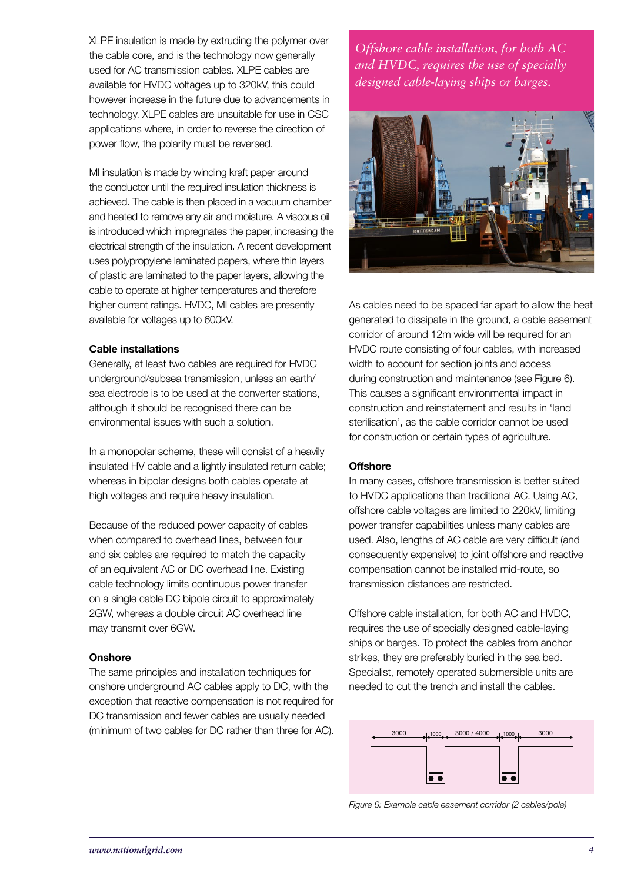XLPE insulation is made by extruding the polymer over the cable core, and is the technology now generally used for AC transmission cables. XLPE cables are available for HVDC voltages up to 320kV, this could however increase in the future due to advancements in technology. XLPE cables are unsuitable for use in CSC applications where, in order to reverse the direction of power flow, the polarity must be reversed.

MI insulation is made by winding kraft paper around the conductor until the required insulation thickness is achieved. The cable is then placed in a vacuum chamber and heated to remove any air and moisture. A viscous oil is introduced which impregnates the paper, increasing the electrical strength of the insulation. A recent development uses polypropylene laminated papers, where thin layers of plastic are laminated to the paper layers, allowing the cable to operate at higher temperatures and therefore higher current ratings. HVDC, MI cables are presently available for voltages up to 600kV.

#### Cable installations

Generally, at least two cables are required for HVDC underground/subsea transmission, unless an earth/ sea electrode is to be used at the converter stations, although it should be recognised there can be environmental issues with such a solution.

In a monopolar scheme, these will consist of a heavily insulated HV cable and a lightly insulated return cable; whereas in bipolar designs both cables operate at high voltages and require heavy insulation.

Because of the reduced power capacity of cables when compared to overhead lines, between four and six cables are required to match the capacity of an equivalent AC or DC overhead line. Existing cable technology limits continuous power transfer on a single cable DC bipole circuit to approximately 2GW, whereas a double circuit AC overhead line may transmit over 6GW.

#### **Onshore**

The same principles and installation techniques for onshore underground AC cables apply to DC, with the exception that reactive compensation is not required for DC transmission and fewer cables are usually needed (minimum of two cables for DC rather than three for AC).

*Offshore cable installation, for both AC and HVDC, requires the use of specially designed cable-laying ships or barges.*



As cables need to be spaced far apart to allow the heat generated to dissipate in the ground, a cable easement corridor of around 12m wide will be required for an HVDC route consisting of four cables, with increased width to account for section joints and access during construction and maintenance (see Figure 6). This causes a significant environmental impact in construction and reinstatement and results in 'land sterilisation', as the cable corridor cannot be used for construction or certain types of agriculture.

# **Offshore**

In many cases, offshore transmission is better suited to HVDC applications than traditional AC. Using AC, offshore cable voltages are limited to 220kV, limiting power transfer capabilities unless many cables are used. Also, lengths of AC cable are very difficult (and consequently expensive) to joint offshore and reactive compensation cannot be installed mid-route, so transmission distances are restricted.

Offshore cable installation, for both AC and HVDC, requires the use of specially designed cable-laying ships or barges. To protect the cables from anchor strikes, they are preferably buried in the sea bed. Specialist, remotely operated submersible units are needed to cut the trench and install the cables.



*Figure 6: Example cable easement corridor (2 cables/pole)*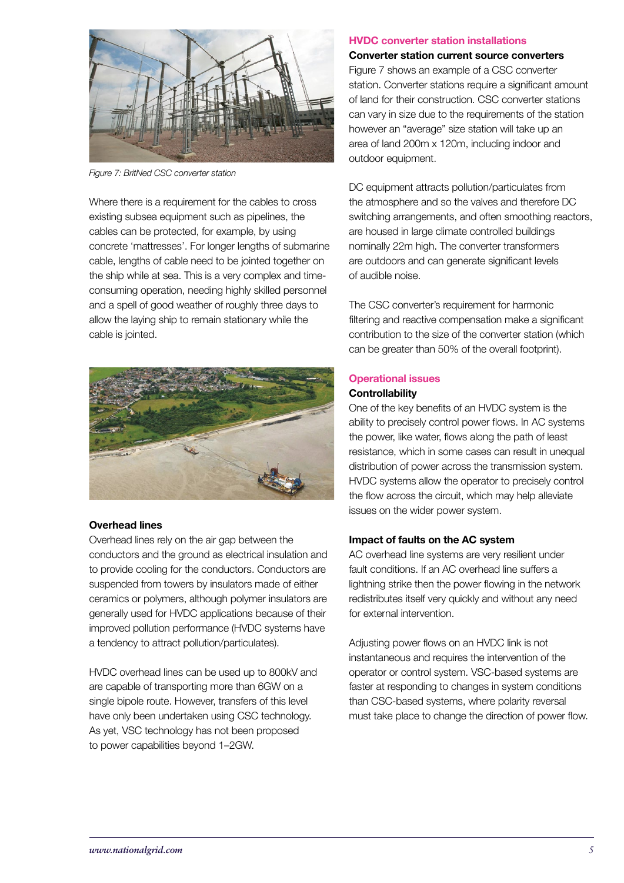

*Figure 7: BritNed CSC converter station* 

Where there is a requirement for the cables to cross existing subsea equipment such as pipelines, the cables can be protected, for example, by using concrete 'mattresses'. For longer lengths of submarine cable, lengths of cable need to be jointed together on the ship while at sea. This is a very complex and timeconsuming operation, needing highly skilled personnel and a spell of good weather of roughly three days to allow the laying ship to remain stationary while the cable is jointed.



# Overhead lines

Overhead lines rely on the air gap between the conductors and the ground as electrical insulation and to provide cooling for the conductors. Conductors are suspended from towers by insulators made of either ceramics or polymers, although polymer insulators are generally used for HVDC applications because of their improved pollution performance (HVDC systems have a tendency to attract pollution/particulates).

HVDC overhead lines can be used up to 800kV and are capable of transporting more than 6GW on a single bipole route. However, transfers of this level have only been undertaken using CSC technology. As yet, VSC technology has not been proposed to power capabilities beyond 1–2GW.

#### HVDC converter station installations

#### Converter station current source converters

Figure 7 shows an example of a CSC converter station. Converter stations require a significant amount of land for their construction. CSC converter stations can vary in size due to the requirements of the station however an "average" size station will take up an area of land 200m x 120m, including indoor and outdoor equipment.

DC equipment attracts pollution/particulates from the atmosphere and so the valves and therefore DC switching arrangements, and often smoothing reactors, are housed in large climate controlled buildings nominally 22m high. The converter transformers are outdoors and can generate significant levels of audible noise.

The CSC converter's requirement for harmonic filtering and reactive compensation make a significant contribution to the size of the converter station (which can be greater than 50% of the overall footprint).

#### Operational issues **Controllability**

One of the key benefits of an HVDC system is the ability to precisely control power flows. In AC systems the power, like water, flows along the path of least resistance, which in some cases can result in unequal distribution of power across the transmission system. HVDC systems allow the operator to precisely control the flow across the circuit, which may help alleviate issues on the wider power system.

#### Impact of faults on the AC system

AC overhead line systems are very resilient under fault conditions. If an AC overhead line suffers a lightning strike then the power flowing in the network redistributes itself very quickly and without any need for external intervention.

Adjusting power flows on an HVDC link is not instantaneous and requires the intervention of the operator or control system. VSC-based systems are faster at responding to changes in system conditions than CSC-based systems, where polarity reversal must take place to change the direction of power flow.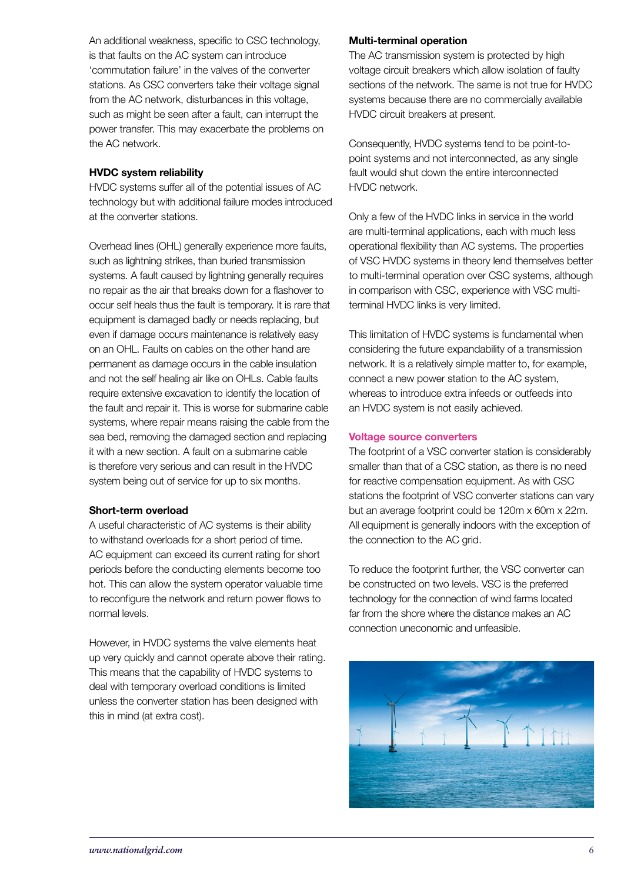An additional weakness, specific to CSC technology, is that faults on the AC system can introduce 'commutation failure' in the valves of the converter stations. As CSC converters take their voltage signal from the AC network, disturbances in this voltage, such as might be seen after a fault, can interrupt the power transfer. This may exacerbate the problems on the AC network.

# HVDC system reliability

HVDC systems suffer all of the potential issues of AC technology but with additional failure modes introduced at the converter stations.

Overhead lines (OHL) generally experience more faults, such as lightning strikes, than buried transmission systems. A fault caused by lightning generally requires no repair as the air that breaks down for a flashover to occur self heals thus the fault is temporary. It is rare that equipment is damaged badly or needs replacing, but even if damage occurs maintenance is relatively easy on an OHL. Faults on cables on the other hand are permanent as damage occurs in the cable insulation and not the self healing air like on OHLs. Cable faults require extensive excavation to identify the location of the fault and repair it. This is worse for submarine cable systems, where repair means raising the cable from the sea bed, removing the damaged section and replacing it with a new section. A fault on a submarine cable is therefore very serious and can result in the HVDC system being out of service for up to six months.

# Short-term overload

A useful characteristic of AC systems is their ability to withstand overloads for a short period of time. AC equipment can exceed its current rating for short periods before the conducting elements become too hot. This can allow the system operator valuable time to reconfigure the network and return power flows to normal levels.

However, in HVDC systems the valve elements heat up very quickly and cannot operate above their rating. This means that the capability of HVDC systems to deal with temporary overload conditions is limited unless the converter station has been designed with this in mind (at extra cost).

# Multi-terminal operation

The AC transmission system is protected by high voltage circuit breakers which allow isolation of faulty sections of the network. The same is not true for HVDC systems because there are no commercially available HVDC circuit breakers at present.

Consequently, HVDC systems tend to be point-topoint systems and not interconnected, as any single fault would shut down the entire interconnected HVDC network.

Only a few of the HVDC links in service in the world are multi-terminal applications, each with much less operational flexibility than AC systems. The properties of VSC HVDC systems in theory lend themselves better to multi-terminal operation over CSC systems, although in comparison with CSC, experience with VSC multiterminal HVDC links is very limited.

This limitation of HVDC systems is fundamental when considering the future expandability of a transmission network. It is a relatively simple matter to, for example, connect a new power station to the AC system, whereas to introduce extra infeeds or outfeeds into an HVDC system is not easily achieved.

# Voltage source converters

The footprint of a VSC converter station is considerably smaller than that of a CSC station, as there is no need for reactive compensation equipment. As with CSC stations the footprint of VSC converter stations can vary but an average footprint could be 120m x 60m x 22m. All equipment is generally indoors with the exception of the connection to the AC grid.

To reduce the footprint further, the VSC converter can be constructed on two levels. VSC is the preferred technology for the connection of wind farms located far from the shore where the distance makes an AC connection uneconomic and unfeasible.

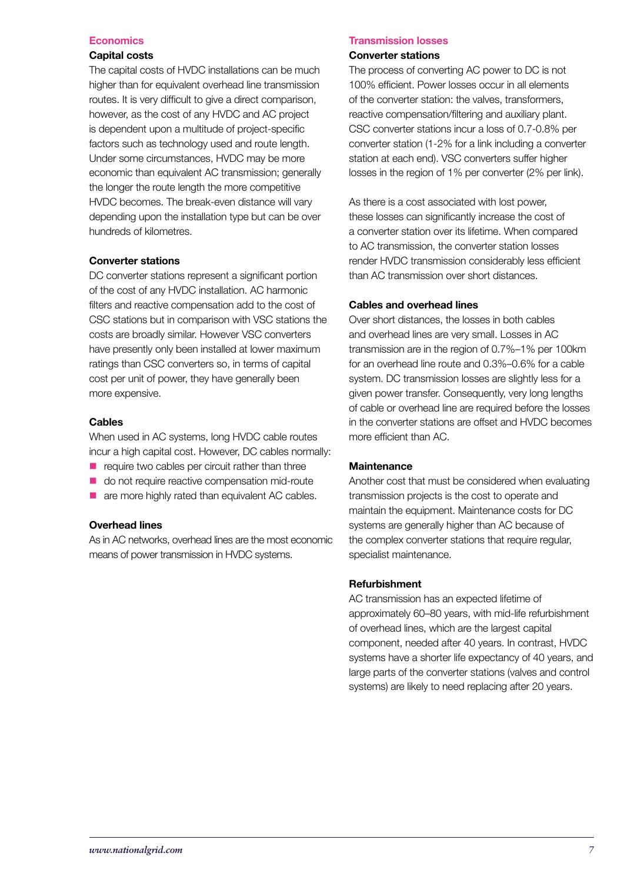#### **Economics**

#### Capital costs

The capital costs of HVDC installations can be much higher than for equivalent overhead line transmission routes. It is very difficult to give a direct comparison, however, as the cost of any HVDC and AC project is dependent upon a multitude of project-specific factors such as technology used and route length. Under some circumstances, HVDC may be more economic than equivalent AC transmission; generally the longer the route length the more competitive HVDC becomes. The break-even distance will vary depending upon the installation type but can be over hundreds of kilometres.

#### Converter stations

DC converter stations represent a significant portion of the cost of any HVDC installation. AC harmonic filters and reactive compensation add to the cost of CSC stations but in comparison with VSC stations the costs are broadly similar. However VSC converters have presently only been installed at lower maximum ratings than CSC converters so, in terms of capital cost per unit of power, they have generally been more expensive.

#### **Cables**

When used in AC systems, long HVDC cable routes incur a high capital cost. However, DC cables normally:

- $\blacksquare$  require two cables per circuit rather than three
- $\blacksquare$  do not require reactive compensation mid-route
- are more highly rated than equivalent AC cables.

# Overhead lines

As in AC networks, overhead lines are the most economic means of power transmission in HVDC systems.

#### Transmission losses

#### Converter stations

The process of converting AC power to DC is not 100% efficient. Power losses occur in all elements of the converter station: the valves, transformers, reactive compensation/filtering and auxiliary plant. CSC converter stations incur a loss of 0.7-0.8% per converter station (1-2% for a link including a converter station at each end). VSC converters suffer higher losses in the region of 1% per converter (2% per link).

As there is a cost associated with lost power, these losses can significantly increase the cost of a converter station over its lifetime. When compared to AC transmission, the converter station losses render HVDC transmission considerably less efficient than AC transmission over short distances.

#### Cables and overhead lines

Over short distances, the losses in both cables and overhead lines are very small. Losses in AC transmission are in the region of 0.7%–1% per 100km for an overhead line route and 0.3%–0.6% for a cable system. DC transmission losses are slightly less for a given power transfer. Consequently, very long lengths of cable or overhead line are required before the losses in the converter stations are offset and HVDC becomes more efficient than AC.

# **Maintenance**

Another cost that must be considered when evaluating transmission projects is the cost to operate and maintain the equipment. Maintenance costs for DC systems are generally higher than AC because of the complex converter stations that require regular, specialist maintenance.

# Refurbishment

AC transmission has an expected lifetime of approximately 60–80 years, with mid-life refurbishment of overhead lines, which are the largest capital component, needed after 40 years. In contrast, HVDC systems have a shorter life expectancy of 40 years, and large parts of the converter stations (valves and control systems) are likely to need replacing after 20 years.